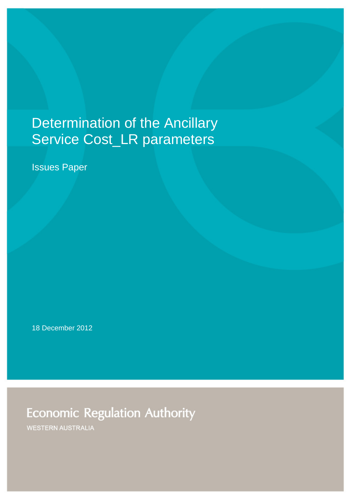# Determination of the Ancillary Service Cost\_LR parameters

Issues Paper

18 December 2012

**Economic Regulation Authority** 

**WESTERN AUSTRALIA**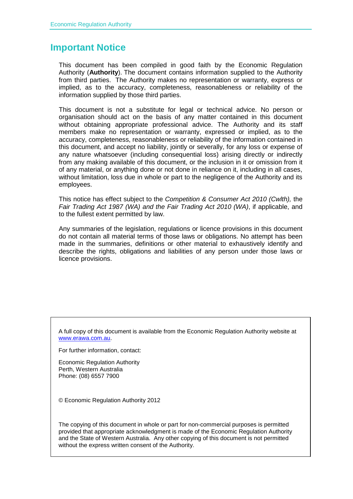#### **Important Notice**

This document has been compiled in good faith by the Economic Regulation Authority (**Authority**). The document contains information supplied to the Authority from third parties. The Authority makes no representation or warranty, express or implied, as to the accuracy, completeness, reasonableness or reliability of the information supplied by those third parties.

This document is not a substitute for legal or technical advice. No person or organisation should act on the basis of any matter contained in this document without obtaining appropriate professional advice. The Authority and its staff members make no representation or warranty, expressed or implied, as to the accuracy, completeness, reasonableness or reliability of the information contained in this document, and accept no liability, jointly or severally, for any loss or expense of any nature whatsoever (including consequential loss) arising directly or indirectly from any making available of this document, or the inclusion in it or omission from it of any material, or anything done or not done in reliance on it, including in all cases, without limitation, loss due in whole or part to the negligence of the Authority and its employees.

This notice has effect subject to the *Competition & Consumer Act 2010 (Cwlth),* the *Fair Trading Act 1987 (WA) and the Fair Trading Act 2010 (WA)*, if applicable, and to the fullest extent permitted by law.

Any summaries of the legislation, regulations or licence provisions in this document do not contain all material terms of those laws or obligations. No attempt has been made in the summaries, definitions or other material to exhaustively identify and describe the rights, obligations and liabilities of any person under those laws or licence provisions.

A full copy of this document is available from the Economic Regulation Authority website at [www.erawa.com.au.](http://www.erawa.com.au/)

For further information, contact:

Economic Regulation Authority Perth, Western Australia Phone: (08) 6557 7900

© Economic Regulation Authority 2012

The copying of this document in whole or part for non-commercial purposes is permitted provided that appropriate acknowledgment is made of the Economic Regulation Authority and the State of Western Australia. Any other copying of this document is not permitted without the express written consent of the Authority.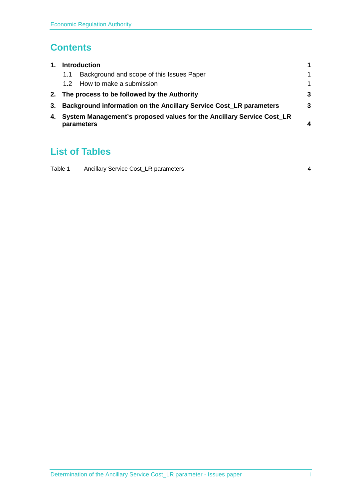#### **Contents**

| $\mathbf{1}$ . | <b>Introduction</b>                                                       |                                           |                        |  |
|----------------|---------------------------------------------------------------------------|-------------------------------------------|------------------------|--|
|                | 1.1                                                                       | Background and scope of this Issues Paper | 1                      |  |
|                | 1.2 <sub>1</sub>                                                          | How to make a submission                  | 1                      |  |
|                | 2. The process to be followed by the Authority                            |                                           |                        |  |
| 3.             | <b>Background information on the Ancillary Service Cost_LR parameters</b> |                                           |                        |  |
| 4.             | System Management's proposed values for the Ancillary Service Cost_LR     |                                           |                        |  |
|                |                                                                           | parameters                                | $\boldsymbol{\Lambda}$ |  |

### **List of Tables**

| Table 1 | Ancillary Service Cost_LR parameters |  |
|---------|--------------------------------------|--|
|         |                                      |  |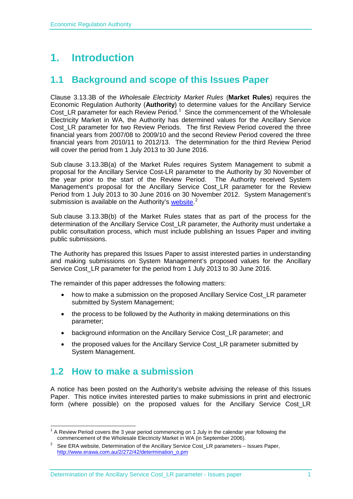## <span id="page-4-0"></span>**1. Introduction**

#### <span id="page-4-1"></span>**1.1 Background and scope of this Issues Paper**

Clause 3.13.3B of the *Wholesale Electricity Market Rules* (**Market Rules**) requires the Economic Regulation Authority (**Authority**) to determine values for the Ancillary Service Cost\_LR parameter for each Review Period.<sup>[1](#page-4-3)</sup> Since the commencement of the Wholesale Electricity Market in WA, the Authority has determined values for the Ancillary Service Cost LR parameter for two Review Periods. The first Review Period covered the three financial years from 2007/08 to 2009/10 and the second Review Period covered the three financial years from 2010/11 to 2012/13. The determination for the third Review Period will cover the period from 1 July 2013 to 30 June 2016.

Sub clause 3.13.3B(a) of the Market Rules requires System Management to submit a proposal for the Ancillary Service Cost-LR parameter to the Authority by 30 November of the year prior to the start of the Review Period. The Authority received System Management's proposal for the Ancillary Service Cost\_LR parameter for the Review Period from 1 July 2013 to 30 June 2016 on 30 November 2012. System Management's submission is available on the Authority's [website.](http://www.erawa.com.au/2/272/42/determination_of_the_imo_and_system_management_all.pm)<sup>[2](#page-4-4)</sup>

Sub clause 3.13.3B(b) of the Market Rules states that as part of the process for the determination of the Ancillary Service Cost\_LR parameter, the Authority must undertake a public consultation process, which must include publishing an Issues Paper and inviting public submissions.

The Authority has prepared this Issues Paper to assist interested parties in understanding and making submissions on System Management's proposed values for the Ancillary Service Cost\_LR parameter for the period from 1 July 2013 to 30 June 2016.

The remainder of this paper addresses the following matters:

- how to make a submission on the proposed Ancillary Service Cost\_LR parameter submitted by System Management;
- the process to be followed by the Authority in making determinations on this parameter;
- background information on the Ancillary Service Cost\_LR parameter; and
- the proposed values for the Ancillary Service Cost\_LR parameter submitted by System Management.

#### <span id="page-4-2"></span>**1.2 How to make a submission**

A notice has been posted on the Authority's website advising the release of this Issues Paper. This notice invites interested parties to make submissions in print and electronic form (where possible) on the proposed values for the Ancillary Service Cost\_LR

<span id="page-4-3"></span>A Review Period covers the 3 year period commencing on 1 July in the calendar year following the commencement of the Wholesale Electricity Market in WA (in September 2006).

<span id="page-4-4"></span>See ERA website, Determination of the Ancillary Service Cost\_LR parameters – Issues Paper, [http://www.erawa.com.au/2/272/42/determination\\_o.pm](http://www.erawa.com.au/2/272/42/determination_o.pm)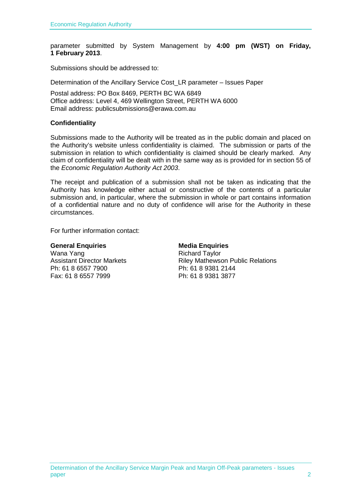parameter submitted by System Management by **4:00 pm (WST) on Friday, 1 February 2013**.

Submissions should be addressed to:

Determination of the Ancillary Service Cost\_LR parameter – Issues Paper

Postal address: PO Box 8469, PERTH BC WA 6849 Office address: Level 4, 469 Wellington Street, PERTH WA 6000 Email address: publicsubmissions@erawa.com.au

#### **Confidentiality**

Submissions made to the Authority will be treated as in the public domain and placed on the Authority's website unless confidentiality is claimed. The submission or parts of the submission in relation to which confidentiality is claimed should be clearly marked. Any claim of confidentiality will be dealt with in the same way as is provided for in section 55 of the *Economic Regulation Authority Act 2003*.

The receipt and publication of a submission shall not be taken as indicating that the Authority has knowledge either actual or constructive of the contents of a particular submission and, in particular, where the submission in whole or part contains information of a confidential nature and no duty of confidence will arise for the Authority in these circumstances.

For further information contact:

Wana Yang<br>Assistant Director Markets **Assistant Director Markets** Ph: 61 8 6557 7900 Ph: 61 8 9381 2144 Fax: 61 8 6557 7999

### **General Enquiries**<br> **Media Enquiries**<br> **Mana Yang**<br> **Mana Yang Riley Mathewson Public Relations**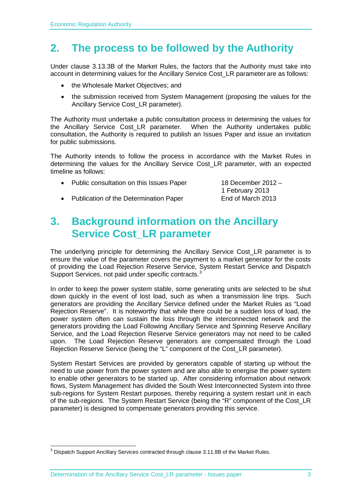### <span id="page-6-0"></span>**2. The process to be followed by the Authority**

Under clause 3.13.3B of the Market Rules, the factors that the Authority must take into account in determining values for the Ancillary Service Cost\_LR parameter are as follows:

- the Wholesale Market Objectives; and
- the submission received from System Management (proposing the values for the Ancillary Service Cost LR parameter).

The Authority must undertake a public consultation process in determining the values for the Ancillary Service Cost LR parameter. When the Authority undertakes public consultation, the Authority is required to publish an Issues Paper and issue an invitation for public submissions.

The Authority intends to follow the process in accordance with the Market Rules in determining the values for the Ancillary Service Cost\_LR parameter, with an expected timeline as follows:

• Public consultation on this Issues Paper 18 December 2012 –

1 February 2013 • Publication of the Determination Paper End of March 2013

<span id="page-6-1"></span>

### **3. Background information on the Ancillary Service Cost\_LR parameter**

The underlying principle for determining the Ancillary Service Cost\_LR parameter is to ensure the value of the parameter covers the payment to a market generator for the costs of providing the Load Rejection Reserve Service, System Restart Service and Dispatch Support Services, not paid under specific contracts.<sup>[3](#page-6-2)</sup>

In order to keep the power system stable, some generating units are selected to be shut down quickly in the event of lost load, such as when a transmission line trips. Such generators are providing the Ancillary Service defined under the Market Rules as "Load Rejection Reserve". It is noteworthy that while there could be a sudden loss of load, the power system often can sustain the loss through the interconnected network and the generators providing the Load Following Ancillary Service and Spinning Reserve Ancillary Service, and the Load Rejection Reserve Service generators may not need to be called upon. The Load Rejection Reserve generators are compensated through the Load Rejection Reserve Service (being the "L" component of the Cost\_LR parameter).

System Restart Services are provided by generators capable of starting up without the need to use power from the power system and are also able to energise the power system to enable other generators to be started up. After considering information about network flows, System Management has divided the South West Interconnected System into three sub-regions for System Restart purposes, thereby requiring a system restart unit in each of the sub-regions. The System Restart Service (being the "R" component of the Cost\_LR parameter) is designed to compensate generators providing this service.

<span id="page-6-2"></span><sup>&</sup>lt;sup>3</sup> Dispatch Support Ancillary Services contracted through clause 3.11.8B of the Market Rules.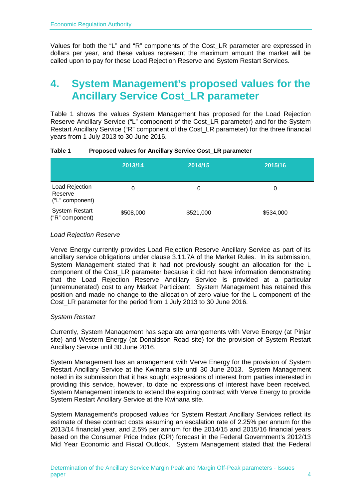Values for both the "L" and "R" components of the Cost\_LR parameter are expressed in dollars per year, and these values represent the maximum amount the market will be called upon to pay for these Load Rejection Reserve and System Restart Services.

### <span id="page-7-0"></span>**4. System Management's proposed values for the Ancillary Service Cost\_LR parameter**

Table 1 shows the values System Management has proposed for the Load Rejection Reserve Ancillary Service ("L" component of the Cost\_LR parameter) and for the System Restart Ancillary Service ("R" component of the Cost\_LR parameter) for the three financial years from 1 July 2013 to 30 June 2016.

|                                              | 2013/14   | 2014/15   | 2015/16   |
|----------------------------------------------|-----------|-----------|-----------|
| Load Rejection<br>Reserve<br>("L" component) |           | 0         | 0         |
| <b>System Restart</b><br>("R" component)     | \$508,000 | \$521,000 | \$534,000 |

#### <span id="page-7-1"></span>**Table 1 Proposed values for Ancillary Service Cost\_LR parameter**

#### *Load Rejection Reserve*

Verve Energy currently provides Load Rejection Reserve Ancillary Service as part of its ancillary service obligations under clause 3.11.7A of the Market Rules. In its submission, System Management stated that it had not previously sought an allocation for the L component of the Cost\_LR parameter because it did not have information demonstrating that the Load Rejection Reserve Ancillary Service is provided at a particular (unremunerated) cost to any Market Participant. System Management has retained this position and made no change to the allocation of zero value for the L component of the Cost LR parameter for the period from 1 July 2013 to 30 June 2016.

#### *System Restart*

Currently, System Management has separate arrangements with Verve Energy (at Pinjar site) and Western Energy (at Donaldson Road site) for the provision of System Restart Ancillary Service until 30 June 2016.

System Management has an arrangement with Verve Energy for the provision of System Restart Ancillary Service at the Kwinana site until 30 June 2013. System Management noted in its submission that it has sought expressions of interest from parties interested in providing this service, however, to date no expressions of interest have been received. System Management intends to extend the expiring contract with Verve Energy to provide System Restart Ancillary Service at the Kwinana site.

System Management's proposed values for System Restart Ancillary Services reflect its estimate of these contract costs assuming an escalation rate of 2.25% per annum for the 2013/14 financial year, and 2.5% per annum for the 2014/15 and 2015/16 financial years based on the Consumer Price Index (CPI) forecast in the Federal Government's 2012/13 Mid Year Economic and Fiscal Outlook. System Management stated that the Federal